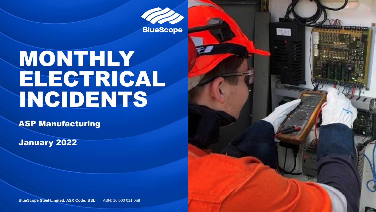**BlueScope** 

高麗

# MONTHLY ELECTRICAL INCIDENTS

ASP Manufacturing

January 2022

**BlueScope Steel Limited. ASX Code: BSL ABN: 16 000 011 058**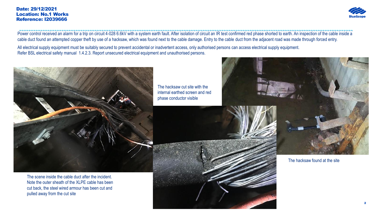### Date: 29/12/2021 Location: No.1 Works Reference: I2039666



Power control received an alarm for a trip on circuit 4-028 6.6kV with a system earth fault. After isolation of circuit an IR test confirmed red phase shorted to earth. An inspection of the cable inside a cable duct found an attempted copper theft by use of a hacksaw, which was found next to the cable damage. Entry to the cable duct from the adjacent road was made through forced entry.

All electrical supply equipment must be suitably secured to prevent accidental or inadvertent access, only authorised persons can access electrical supply equipment. Refer BSL electrical safety manual 1.4.2.3. Report unsecured electrical equipment and unauthorised persons.



The scene inside the cable duct after the incident. Note the outer sheath of the XLPE cable has been cut back, the steel wired armour has been cut and pulled away from the cut site

The hacksaw cut site with the internal earthed screen and red phase conductor visible



The hacksaw found at the site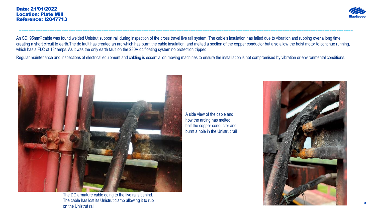

An SDI 95mm<sup>2</sup> cable was found welded Unistrut support rail during inspection of the cross travel live rail system. The cable's insulation has failed due to vibration and rubbing over a long time creating a short circuit to earth.The dc fault has created an arc which has burnt the cable insulation, and melted a section of the copper conductor but also allow the hoist motor to continue running, which has a FLC of 184amps. As it was the only earth fault on the 230V dc floating system no protection tripped.

----------------------------------------------------------------------------------------------------------------------------------------------

Regular maintenance and inspections of electrical equipment and cabling is essential on moving machines to ensure the installation is not compromised by vibration or environmental conditions.



The DC armature cable going to the live rails behind. The cable has lost its Unistrut clamp allowing it to rub on the Unistrut rail

A side view of the cable and how the arcing has melted half the copper conductor and burnt a hole in the Unistrut rail

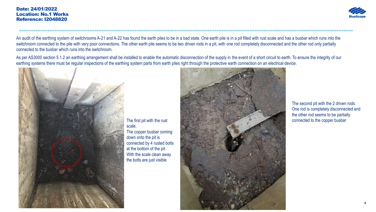### Date: 24/01/2022 Location: No.1 Works Reference: I2048820



An audit of the earthing system of switchrooms A-21 and A-22 has found the earth piles to be in a bad state. One earth pile is in a pit filled with rust scale and has a busbar which runs into the switchroom connected to the pile with very poor connections. The other earth pile seems to be two driven rods in a pit, with one rod completely disconnected and the other rod only partially connected to the busbar which runs into the switchroom.

----------------------------------------------------------------------------------------------------------------------------------------------

As per AS3000 section 5.1.2 an earthing arrangement shall be installed to enable the automatic disconnection of the supply in the event of a short circuit to earth. To ensure the integrity of our earthing systems there must be regular inspections of the earthing system parts from earth piles right through the protective earth connection on an electrical device.



The first pit with the rust scale. The copper busbar coming down onto the pit is connected by 4 rusted bolts at the bottom of the pit. With the scale clean away the bolts are just visible



The second pit with the 2 driven rods. One rod is completely disconnected and the other rod seems to be partially connected to the copper busbar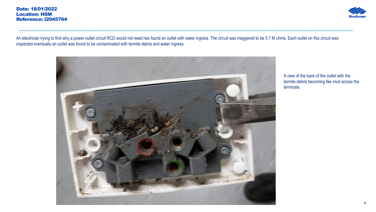

An electrician trying to find why a power outlet circuit RCD would not reset has found an outlet with water ingress. The circuit was meggered to be 0.7 M ohms. Each outlet on this circuit was inspected eventually an outlet was found to be contaminated with termite debris and water ingress.

----------------------------------------------------------------------------------------------------------------------------------------------



A view of the back of the outlet with the termite debris becoming like mud across the terminals